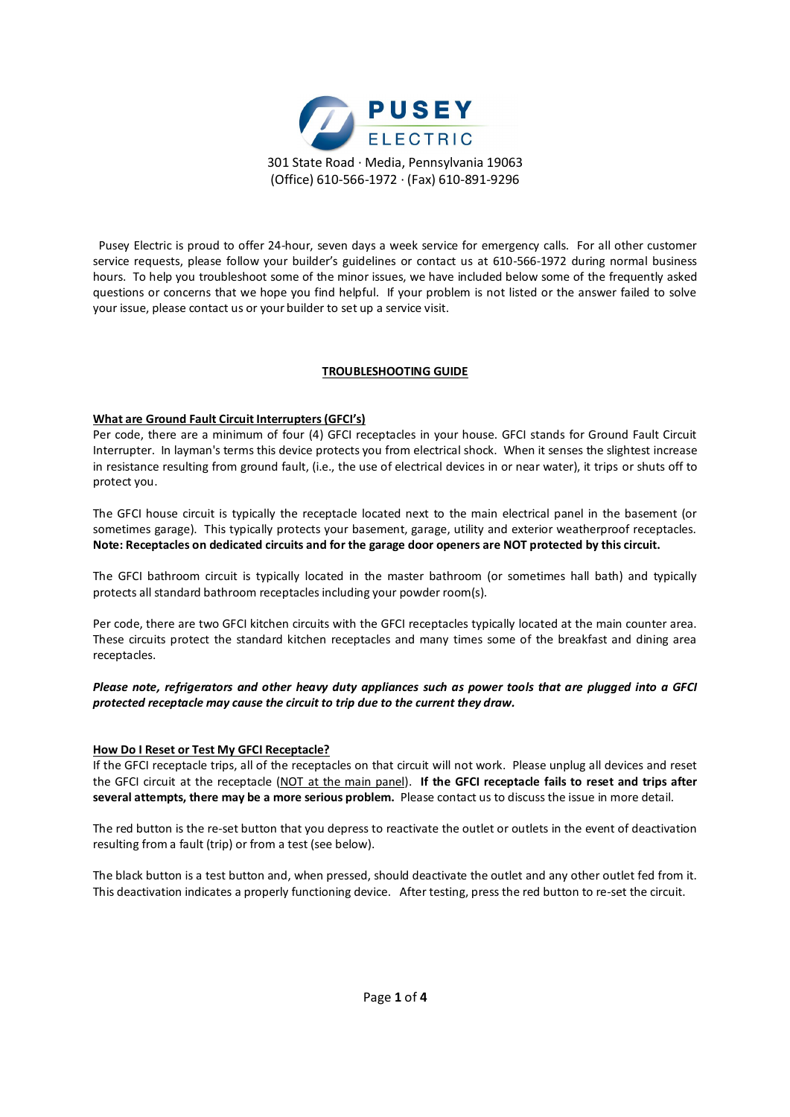

 Pusey Electric is proud to offer 24-hour, seven days a week service for emergency calls. For all other customer service requests, please follow your builder's guidelines or contact us at 610-566-1972 during normal business hours. To help you troubleshoot some of the minor issues, we have included below some of the frequently asked questions or concerns that we hope you find helpful. If your problem is not listed or the answer failed to solve your issue, please contact us or your builder to set up a service visit.

# **TROUBLESHOOTING GUIDE**

# **What are Ground Fault Circuit Interrupters (GFCI's)**

Per code, there are a minimum of four (4) GFCI receptacles in your house. GFCI stands for Ground Fault Circuit Interrupter. In layman's terms this device protects you from electrical shock. When it senses the slightest increase in resistance resulting from ground fault, (i.e., the use of electrical devices in or near water), it trips or shuts off to protect you.

The GFCI house circuit is typically the receptacle located next to the main electrical panel in the basement (or sometimes garage). This typically protects your basement, garage, utility and exterior weatherproof receptacles. **Note: Receptacles on dedicated circuits and for the garage door openers are NOT protected by this circuit.**

The GFCI bathroom circuit is typically located in the master bathroom (or sometimes hall bath) and typically protects all standard bathroom receptacles including your powder room(s).

Per code, there are two GFCI kitchen circuits with the GFCI receptacles typically located at the main counter area. These circuits protect the standard kitchen receptacles and many times some of the breakfast and dining area receptacles.

# *Please note, refrigerators and other heavy duty appliances such as power tools that are plugged into a GFCI protected receptacle may cause the circuit to trip due to the current they draw.*

## **How Do I Reset or Test My GFCI Receptacle?**

If the GFCI receptacle trips, all of the receptacles on that circuit will not work. Please unplug all devices and reset the GFCI circuit at the receptacle (NOT at the main panel). **If the GFCI receptacle fails to reset and trips after several attempts, there may be a more serious problem.** Please contact us to discuss the issue in more detail.

The red button is the re-set button that you depress to reactivate the outlet or outlets in the event of deactivation resulting from a fault (trip) or from a test (see below).

The black button is a test button and, when pressed, should deactivate the outlet and any other outlet fed from it. This deactivation indicates a properly functioning device. After testing, press the red button to re-set the circuit.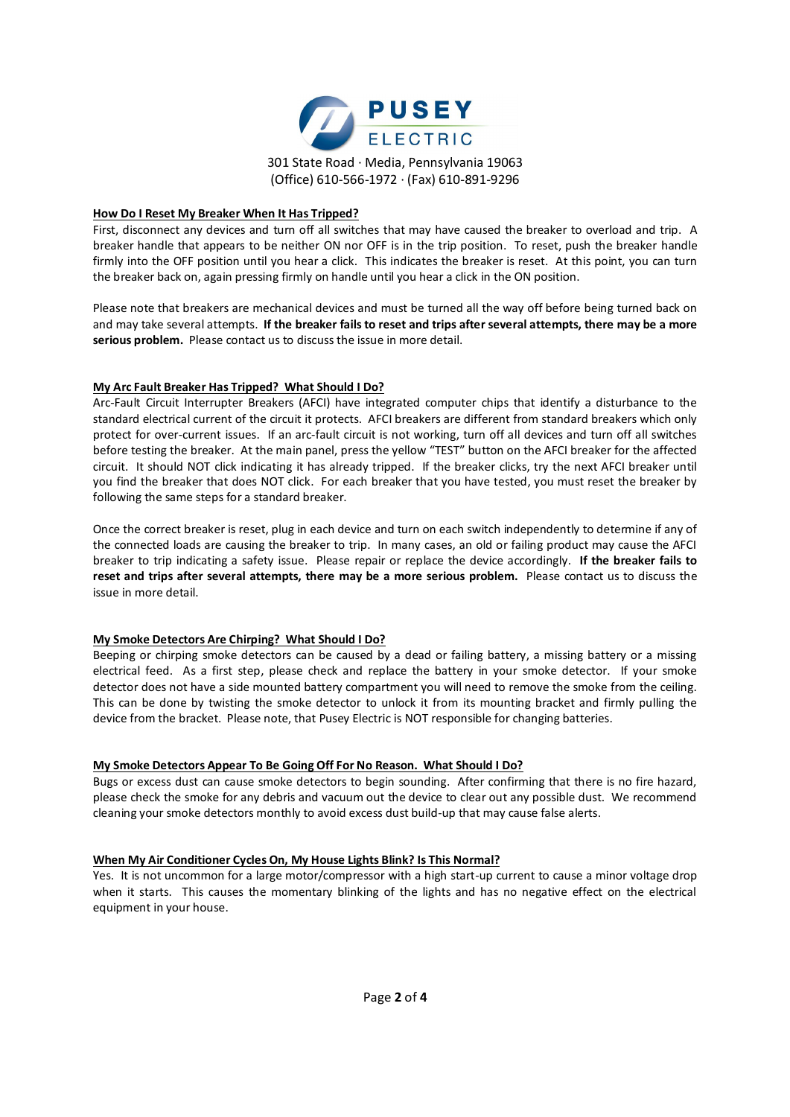

## **How Do I Reset My Breaker When It Has Tripped?**

First, disconnect any devices and turn off all switches that may have caused the breaker to overload and trip. A breaker handle that appears to be neither ON nor OFF is in the trip position. To reset, push the breaker handle firmly into the OFF position until you hear a click. This indicates the breaker is reset. At this point, you can turn the breaker back on, again pressing firmly on handle until you hear a click in the ON position.

Please note that breakers are mechanical devices and must be turned all the way off before being turned back on and may take several attempts. **If the breaker fails to reset and trips after several attempts, there may be a more serious problem.** Please contact us to discuss the issue in more detail.

# **My Arc Fault Breaker Has Tripped? What Should I Do?**

Arc-Fault Circuit Interrupter Breakers (AFCI) have integrated computer chips that identify a disturbance to the standard electrical current of the circuit it protects. AFCI breakers are different from standard breakers which only protect for over-current issues. If an arc-fault circuit is not working, turn off all devices and turn off all switches before testing the breaker. At the main panel, press the yellow "TEST" button on the AFCI breaker for the affected circuit. It should NOT click indicating it has already tripped. If the breaker clicks, try the next AFCI breaker until you find the breaker that does NOT click. For each breaker that you have tested, you must reset the breaker by following the same steps for a standard breaker.

Once the correct breaker is reset, plug in each device and turn on each switch independently to determine if any of the connected loads are causing the breaker to trip. In many cases, an old or failing product may cause the AFCI breaker to trip indicating a safety issue. Please repair or replace the device accordingly. **If the breaker fails to reset and trips after several attempts, there may be a more serious problem.** Please contact us to discuss the issue in more detail.

## **My Smoke Detectors Are Chirping? What Should I Do?**

Beeping or chirping smoke detectors can be caused by a dead or failing battery, a missing battery or a missing electrical feed. As a first step, please check and replace the battery in your smoke detector. If your smoke detector does not have a side mounted battery compartment you will need to remove the smoke from the ceiling. This can be done by twisting the smoke detector to unlock it from its mounting bracket and firmly pulling the device from the bracket. Please note, that Pusey Electric is NOT responsible for changing batteries.

## **My Smoke Detectors Appear To Be Going Off For No Reason. What Should I Do?**

Bugs or excess dust can cause smoke detectors to begin sounding. After confirming that there is no fire hazard, please check the smoke for any debris and vacuum out the device to clear out any possible dust. We recommend cleaning your smoke detectors monthly to avoid excess dust build-up that may cause false alerts.

## **When My Air Conditioner Cycles On, My House Lights Blink? Is This Normal?**

Yes. It is not uncommon for a large motor/compressor with a high start-up current to cause a minor voltage drop when it starts. This causes the momentary blinking of the lights and has no negative effect on the electrical equipment in your house.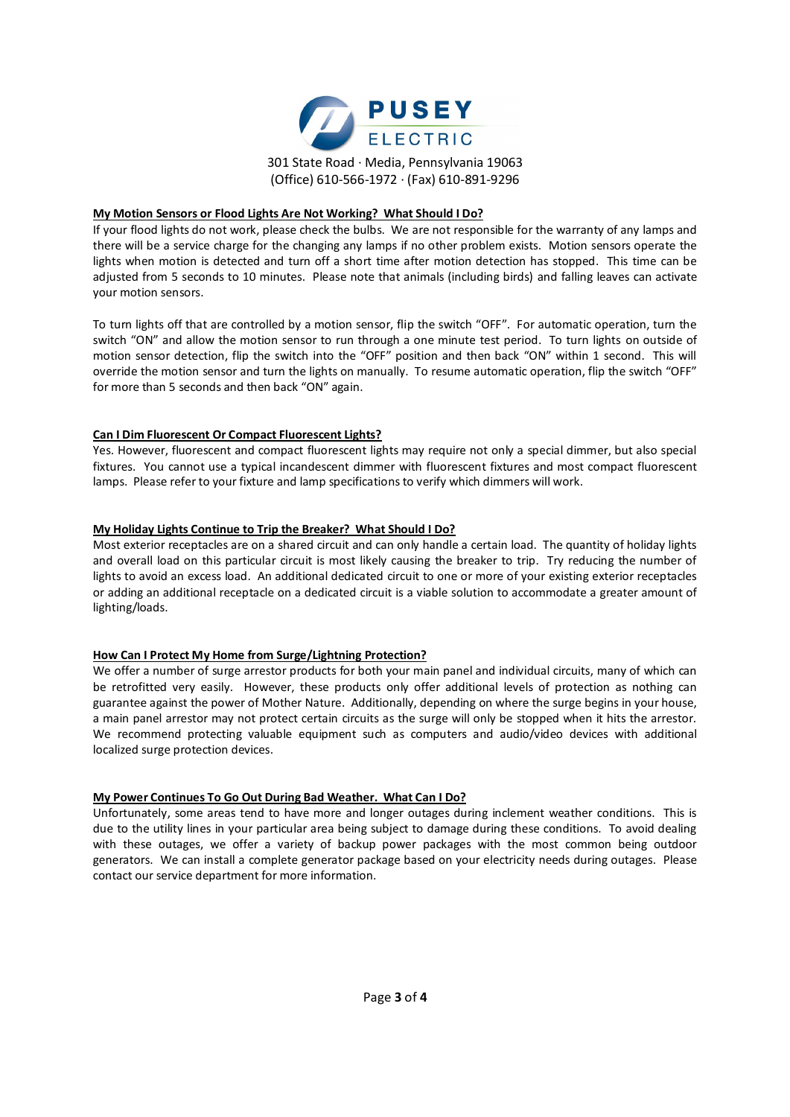

#### **My Motion Sensors or Flood Lights Are Not Working? What Should I Do?**

If your flood lights do not work, please check the bulbs. We are not responsible for the warranty of any lamps and there will be a service charge for the changing any lamps if no other problem exists. Motion sensors operate the lights when motion is detected and turn off a short time after motion detection has stopped. This time can be adjusted from 5 seconds to 10 minutes. Please note that animals (including birds) and falling leaves can activate your motion sensors.

To turn lights off that are controlled by a motion sensor, flip the switch "OFF". For automatic operation, turn the switch "ON" and allow the motion sensor to run through a one minute test period. To turn lights on outside of motion sensor detection, flip the switch into the "OFF" position and then back "ON" within 1 second. This will override the motion sensor and turn the lights on manually. To resume automatic operation, flip the switch "OFF" for more than 5 seconds and then back "ON" again.

## **Can I Dim Fluorescent Or Compact Fluorescent Lights?**

Yes. However, fluorescent and compact fluorescent lights may require not only a special dimmer, but also special fixtures. You cannot use a typical incandescent dimmer with fluorescent fixtures and most compact fluorescent lamps. Please refer to your fixture and lamp specifications to verify which dimmers will work.

## **My Holiday Lights Continue to Trip the Breaker? What Should I Do?**

Most exterior receptacles are on a shared circuit and can only handle a certain load. The quantity of holiday lights and overall load on this particular circuit is most likely causing the breaker to trip. Try reducing the number of lights to avoid an excess load. An additional dedicated circuit to one or more of your existing exterior receptacles or adding an additional receptacle on a dedicated circuit is a viable solution to accommodate a greater amount of lighting/loads.

## **How Can I Protect My Home from Surge/Lightning Protection?**

We offer a number of surge arrestor products for both your main panel and individual circuits, many of which can be retrofitted very easily. However, these products only offer additional levels of protection as nothing can guarantee against the power of Mother Nature. Additionally, depending on where the surge begins in your house, a main panel arrestor may not protect certain circuits as the surge will only be stopped when it hits the arrestor. We recommend protecting valuable equipment such as computers and audio/video devices with additional localized surge protection devices.

## **My Power Continues To Go Out During Bad Weather. What Can I Do?**

Unfortunately, some areas tend to have more and longer outages during inclement weather conditions. This is due to the utility lines in your particular area being subject to damage during these conditions. To avoid dealing with these outages, we offer a variety of backup power packages with the most common being outdoor generators. We can install a complete generator package based on your electricity needs during outages. Please contact our service department for more information.